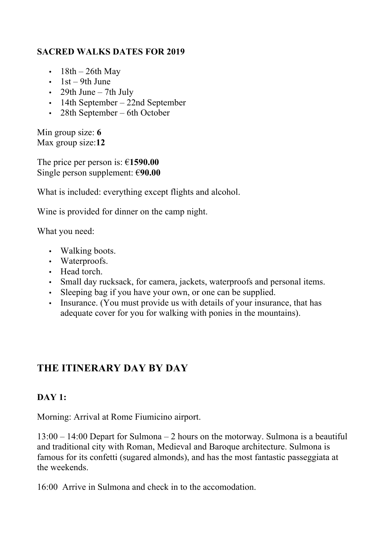#### **SACRED WALKS DATES FOR 2019**

- $18th 26th$  May
- $\cdot$  1st 9th June
- 29th June  $-$  7th July
- 14th September 22nd September
- 28th September 6th October

Min group size: **6** Max group size:**12**

The price per person is: €**1590.00** Single person supplement: €**90.00**

What is included: everything except flights and alcohol.

Wine is provided for dinner on the camp night.

What you need:

- Walking boots.
- Waterproofs.
- Head torch.
- Small day rucksack, for camera, jackets, waterproofs and personal items.
- Sleeping bag if you have your own, or one can be supplied.
- Insurance. (You must provide us with details of your insurance, that has adequate cover for you for walking with ponies in the mountains).

# **THE ITINERARY DAY BY DAY**

#### **DAY 1:**

Morning: Arrival at Rome Fiumicino airport.

13:00 – 14:00 Depart for Sulmona – 2 hours on the motorway. Sulmona is a beautiful and traditional city with Roman, Medieval and Baroque architecture. Sulmona is famous for its confetti (sugared almonds), and has the most fantastic passeggiata at the weekends.

16:00 Arrive in Sulmona and check in to the accomodation.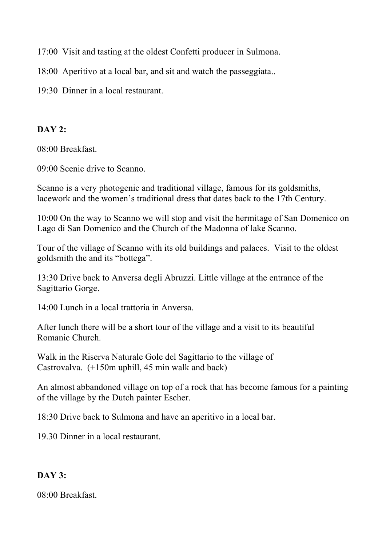17:00 Visit and tasting at the oldest Confetti producer in Sulmona.

- 18:00 Aperitivo at a local bar, and sit and watch the passeggiata..
- 19:30 Dinner in a local restaurant.

#### **DAY 2:**

08:00 Breakfast.

09:00 Scenic drive to Scanno.

Scanno is a very photogenic and traditional village, famous for its goldsmiths, lacework and the women's traditional dress that dates back to the 17th Century.

10:00 On the way to Scanno we will stop and visit the hermitage of San Domenico on Lago di San Domenico and the Church of the Madonna of lake Scanno.

Tour of the village of Scanno with its old buildings and palaces. Visit to the oldest goldsmith the and its "bottega".

13:30 Drive back to Anversa degli Abruzzi. Little village at the entrance of the Sagittario Gorge.

14:00 Lunch in a local trattoria in Anversa.

After lunch there will be a short tour of the village and a visit to its beautiful Romanic Church.

Walk in the Riserva Naturale Gole del Sagittario to the village of Castrovalva. (+150m uphill, 45 min walk and back)

An almost abbandoned village on top of a rock that has become famous for a painting of the village by the Dutch painter Escher.

18:30 Drive back to Sulmona and have an aperitivo in a local bar.

19.30 Dinner in a local restaurant.

#### **DAY 3:**

08:00 Breakfast.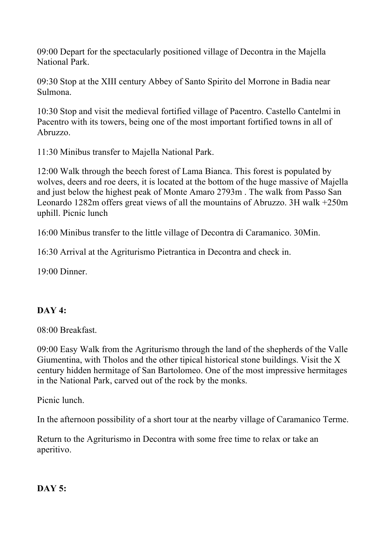09:00 Depart for the spectacularly positioned village of Decontra in the Majella National Park.

09:30 Stop at the XIII century Abbey of Santo Spirito del Morrone in Badia near Sulmona.

10:30 Stop and visit the medieval fortified village of Pacentro. Castello Cantelmi in Pacentro with its towers, being one of the most important fortified towns in all of Abruzzo.

11:30 Minibus transfer to Majella National Park.

12:00 Walk through the beech forest of Lama Bianca. This forest is populated by wolves, deers and roe deers, it is located at the bottom of the huge massive of Majella and just below the highest peak of Monte Amaro 2793m . The walk from Passo San Leonardo 1282m offers great views of all the mountains of Abruzzo. 3H walk +250m uphill. Picnic lunch

16:00 Minibus transfer to the little village of Decontra di Caramanico. 30Min.

16:30 Arrival at the Agriturismo Pietrantica in Decontra and check in.

19:00 Dinner.

### **DAY 4:**

08:00 Breakfast.

09:00 Easy Walk from the Agriturismo through the land of the shepherds of the Valle Giumentina, with Tholos and the other tipical historical stone buildings. Visit the X century hidden hermitage of San Bartolomeo. One of the most impressive hermitages in the National Park, carved out of the rock by the monks.

Picnic lunch.

In the afternoon possibility of a short tour at the nearby village of Caramanico Terme.

Return to the Agriturismo in Decontra with some free time to relax or take an aperitivo.

#### **DAY 5:**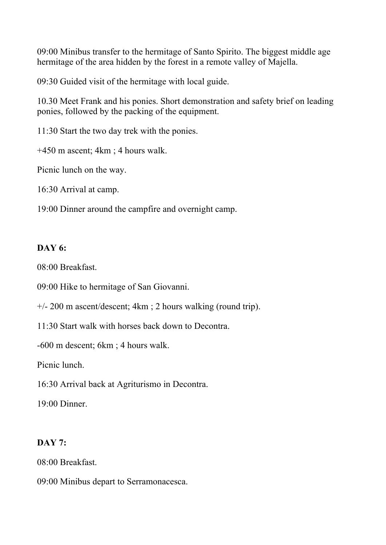09:00 Minibus transfer to the hermitage of Santo Spirito. The biggest middle age hermitage of the area hidden by the forest in a remote valley of Majella.

09:30 Guided visit of the hermitage with local guide.

10.30 Meet Frank and his ponies. Short demonstration and safety brief on leading ponies, followed by the packing of the equipment.

11:30 Start the two day trek with the ponies.

+450 m ascent; 4km ; 4 hours walk.

Picnic lunch on the way.

16:30 Arrival at camp.

19:00 Dinner around the campfire and overnight camp.

#### **DAY 6:**

08:00 Breakfast.

09:00 Hike to hermitage of San Giovanni.

+/- 200 m ascent/descent; 4km ; 2 hours walking (round trip).

11:30 Start walk with horses back down to Decontra.

-600 m descent; 6km ; 4 hours walk.

Picnic lunch.

16:30 Arrival back at Agriturismo in Decontra.

19:00 Dinner.

#### **DAY 7:**

08:00 Breakfast.

09:00 Minibus depart to Serramonacesca.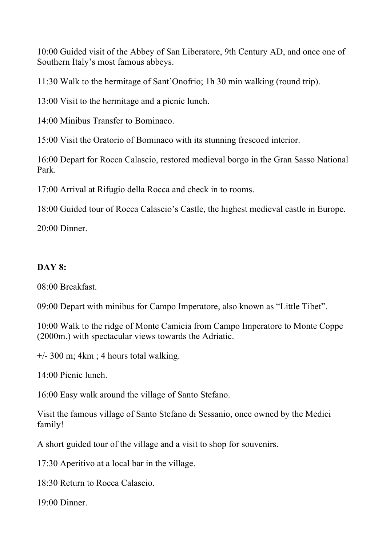10:00 Guided visit of the Abbey of San Liberatore, 9th Century AD, and once one of Southern Italy's most famous abbeys.

11:30 Walk to the hermitage of Sant'Onofrio; 1h 30 min walking (round trip).

13:00 Visit to the hermitage and a picnic lunch.

14:00 Minibus Transfer to Bominaco.

15:00 Visit the Oratorio of Bominaco with its stunning frescoed interior.

16:00 Depart for Rocca Calascio, restored medieval borgo in the Gran Sasso National Park.

17:00 Arrival at Rifugio della Rocca and check in to rooms.

18:00 Guided tour of Rocca Calascio's Castle, the highest medieval castle in Europe.

20:00 Dinner.

## **DAY 8:**

08:00 Breakfast.

09:00 Depart with minibus for Campo Imperatore, also known as "Little Tibet".

10:00 Walk to the ridge of Monte Camicia from Campo Imperatore to Monte Coppe (2000m.) with spectacular views towards the Adriatic.

 $+/-$  300 m; 4km ; 4 hours total walking.

14:00 Picnic lunch.

16:00 Easy walk around the village of Santo Stefano.

Visit the famous village of Santo Stefano di Sessanio, once owned by the Medici family!

A short guided tour of the village and a visit to shop for souvenirs.

17:30 Aperitivo at a local bar in the village.

18:30 Return to Rocca Calascio.

19:00 Dinner.